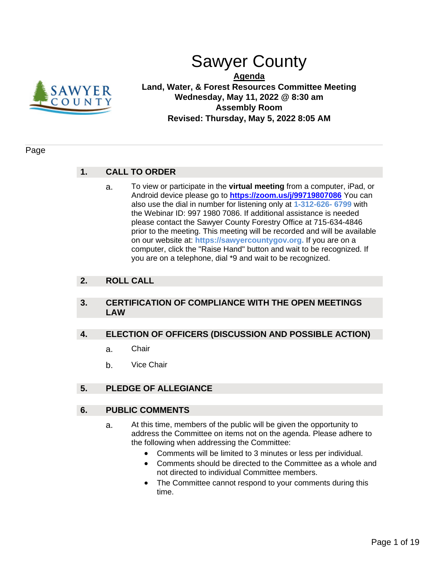

# Sawyer County

**Agenda Land, Water, & Forest Resources Committee Meeting Wednesday, May 11, 2022 @ 8:30 am Assembly Room Revised: Thursday, May 5, 2022 8:05 AM**

#### Page

## **1. CALL TO ORDER**

a. To view or participate in the **virtual meeting** from a computer, iPad, or Android device please go to **<https://zoom.us/j/99719807086>** You can also use the dial in number for listening only at **1-312-626- 6799** with the Webinar ID: 997 1980 7086. If additional assistance is needed please contact the Sawyer County Forestry Office at 715-634-4846 prior to the meeting. This meeting will be recorded and will be available on our website at: **https://sawyercountygov.org.** If you are on a computer, click the "Raise Hand" button and wait to be recognized. If you are on a telephone, dial \*9 and wait to be recognized.

## **2. ROLL CALL**

#### **3. CERTIFICATION OF COMPLIANCE WITH THE OPEN MEETINGS LAW**

#### **4. ELECTION OF OFFICERS (DISCUSSION AND POSSIBLE ACTION)**

- a. Chair
- b. Vice Chair

## **5. PLEDGE OF ALLEGIANCE**

#### **6. PUBLIC COMMENTS**

- a. At this time, members of the public will be given the opportunity to address the Committee on items not on the agenda. Please adhere to the following when addressing the Committee:
	- Comments will be limited to 3 minutes or less per individual.
	- Comments should be directed to the Committee as a whole and not directed to individual Committee members.
	- The Committee cannot respond to your comments during this time.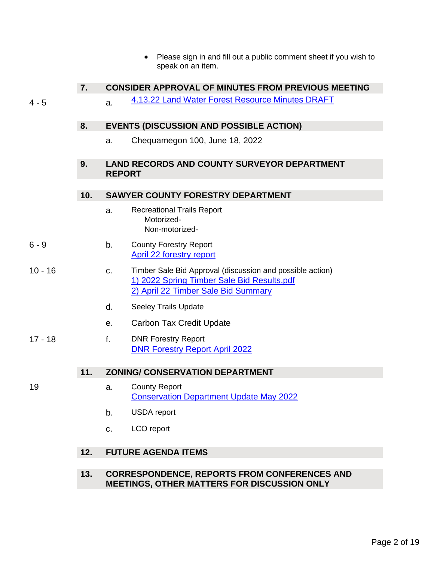• Please sign in and fill out a public comment sheet if you wish to speak on an item.

## **7. CONSIDER APPROVAL OF MINUTES FROM PREVIOUS MEETING**

4 - 5 a. [4.13.22 Land Water Forest Resource Minutes DRAFT](#page-3-0)

#### **8. EVENTS (DISCUSSION AND POSSIBLE ACTION)**

a. Chequamegon 100, June 18, 2022

## **9. LAND RECORDS AND COUNTY SURVEYOR DEPARTMENT REPORT**

## **10. SAWYER COUNTY FORESTRY DEPARTMENT**

- a. Recreational Trails Report Motorized- Non-motorized-
- 6 9 b. County Forestry Report [April 22 forestry report](#page-5-0)
- 10 16 c. Timber Sale Bid Approval (discussion and possible action) [1\) 2022 Spring Timber Sale Bid Results.pdf](#page-9-0) [2\) April 22 Timber Sale Bid Summary](#page-15-0)
	- d. Seeley Trails Update
	- e. Carbon Tax Credit Update
- 17 18 f. DNR Forestry Report [DNR Forestry Report April 2022](#page-16-0)

## **11. ZONING/ CONSERVATION DEPARTMENT**

- 
- 19 a. County Report [Conservation Department Update May 2022](#page-18-0)
	- b. USDA report
	- c. LCO report

## **12. FUTURE AGENDA ITEMS**

**13. CORRESPONDENCE, REPORTS FROM CONFERENCES AND MEETINGS, OTHER MATTERS FOR DISCUSSION ONLY**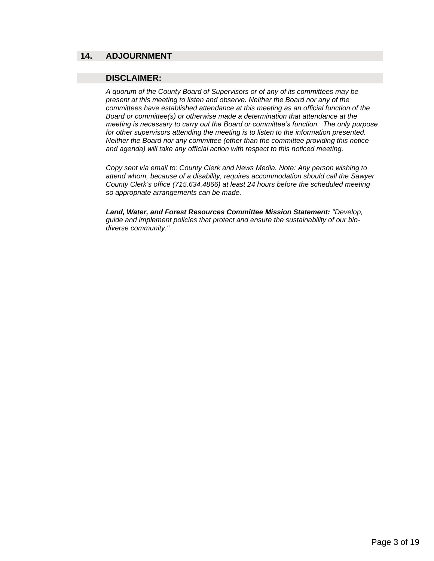#### **14. ADJOURNMENT**

#### **DISCLAIMER:**

*A quorum of the County Board of Supervisors or of any of its committees may be present at this meeting to listen and observe. Neither the Board nor any of the committees have established attendance at this meeting as an official function of the Board or committee(s) or otherwise made a determination that attendance at the meeting is necessary to carry out the Board or committee's function. The only purpose for other supervisors attending the meeting is to listen to the information presented. Neither the Board nor any committee (other than the committee providing this notice and agenda) will take any official action with respect to this noticed meeting.*

*Copy sent via email to: County Clerk and News Media. Note: Any person wishing to attend whom, because of a disability, requires accommodation should call the Sawyer County Clerk's office (715.634.4866) at least 24 hours before the scheduled meeting so appropriate arrangements can be made.*

*Land, Water, and Forest Resources Committee Mission Statement: "Develop, guide and implement policies that protect and ensure the sustainability of our biodiverse community."*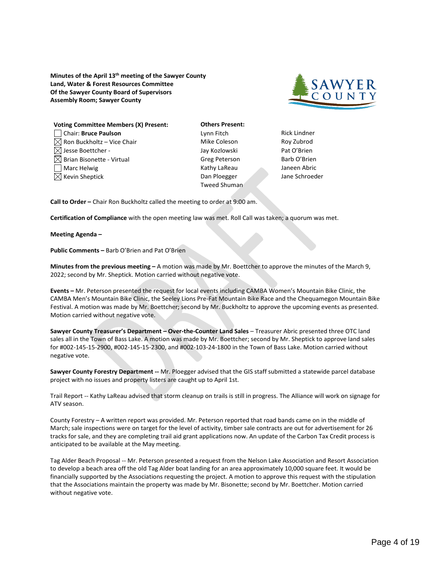<span id="page-3-0"></span>**Minutes of the April 13th meeting of the Sawyer County Land, Water & Forest Resources Committee Of the Sawyer County Board of Supervisors Assembly Room; Sawyer County**



| <b>Voting Committee Members (X) Present:</b> |
|----------------------------------------------|
| Chair: Bruce Paulson                         |
| $\boxtimes$ Ron Buckholtz – Vice Chair       |
| $\bowtie$ Jesse Boettcher -                  |
| $\boxtimes$ Brian Bisonette - Virtual        |
| Marc Helwig                                  |
| $\boxtimes$ Kevin Sheptick                   |
|                                              |

**Others Present:** Lynn Fitch **Rick Lindner** Mike Coleson **Roy Zubrod** Jay Kozlowski Pat O'Brien Greg Peterson Barb O'Brien Kathy LaReau Janeen Abric Dan Ploegger Jane Schroeder Tweed Shuman

**Call to Order –** Chair Ron Buckholtz called the meeting to order at 9:00 am.

**Certification of Compliance** with the open meeting law was met. Roll Call was taken; a quorum was met.

**Meeting Agenda –**

**Public Comments –** Barb O'Brien and Pat O'Brien

**Minutes from the previous meeting –** A motion was made by Mr. Boettcher to approve the minutes of the March 9, 2022; second by Mr. Sheptick. Motion carried without negative vote.

**Events –** Mr. Peterson presented the request for local events including CAMBA Women's Mountain Bike Clinic, the CAMBA Men's Mountain Bike Clinic, the Seeley Lions Pre-Fat Mountain Bike Race and the Chequamegon Mountain Bike Festival. A motion was made by Mr. Boettcher; second by Mr. Buckholtz to approve the upcoming events as presented. Motion carried without negative vote.

**Sawyer County Treasurer's Department – Over-the-Counter Land Sales** – Treasurer Abric presented three OTC land sales all in the Town of Bass Lake. A motion was made by Mr. Boettcher; second by Mr. Sheptick to approve land sales for #002-145-15-2900, #002-145-15-2300, and #002-103-24-1800 in the Town of Bass Lake. Motion carried without negative vote.

**Sawyer County Forestry Department --** Mr. Ploegger advised that the GIS staff submitted a statewide parcel database project with no issues and property listers are caught up to April 1st.

Trail Report -- Kathy LaReau advised that storm cleanup on trails is still in progress. The Alliance will work on signage for ATV season.

County Forestry – A written report was provided. Mr. Peterson reported that road bands came on in the middle of March; sale inspections were on target for the level of activity, timber sale contracts are out for advertisement for 26 tracks for sale, and they are completing trail aid grant applications now. An update of the Carbon Tax Credit process is anticipated to be available at the May meeting.

Tag Alder Beach Proposal -- Mr. Peterson presented a request from the Nelson Lake Association and Resort Association to develop a beach area off the old Tag Alder boat landing for an area approximately 10,000 square feet. It would be financially supported by the Associations requesting the project. A motion to approve this request with the stipulation that the Associations maintain the property was made by Mr. Bisonette; second by Mr. Boettcher. Motion carried without negative vote.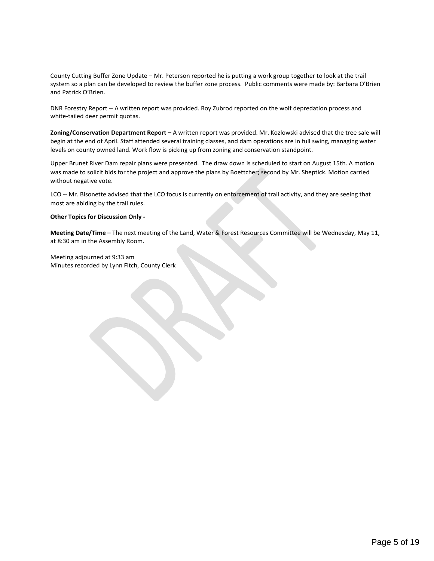County Cutting Buffer Zone Update – Mr. Peterson reported he is putting a work group together to look at the trail system so a plan can be developed to review the buffer zone process. Public comments were made by: Barbara O'Brien and Patrick O'Brien.

DNR Forestry Report -- A written report was provided. Roy Zubrod reported on the wolf depredation process and white-tailed deer permit quotas.

**Zoning/Conservation Department Report –** A written report was provided. Mr. Kozlowski advised that the tree sale will begin at the end of April. Staff attended several training classes, and dam operations are in full swing, managing water levels on county owned land. Work flow is picking up from zoning and conservation standpoint.

Upper Brunet River Dam repair plans were presented. The draw down is scheduled to start on August 15th. A motion was made to solicit bids for the project and approve the plans by Boettcher; second by Mr. Sheptick. Motion carried without negative vote.

LCO -- Mr. Bisonette advised that the LCO focus is currently on enforcement of trail activity, and they are seeing that most are abiding by the trail rules.

#### **Other Topics for Discussion Only -**

**Meeting Date/Time –** The next meeting of the Land, Water & Forest Resources Committee will be Wednesday, May 11, at 8:30 am in the Assembly Room.

Meeting adjourned at 9:33 am Minutes recorded by Lynn Fitch, County Clerk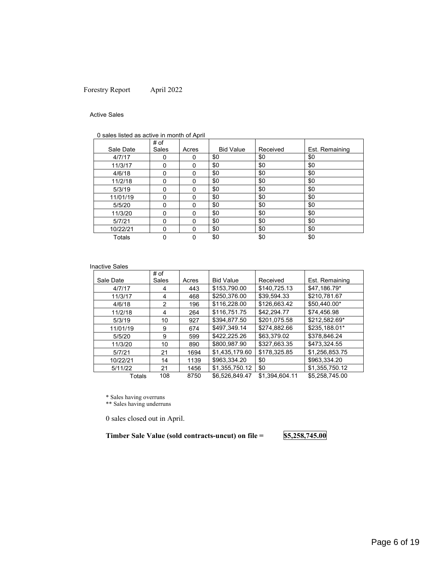#### <span id="page-5-0"></span>Forestry Report April 2022

#### Active Sales

|  |  | 0 sales listed as active in month of April |
|--|--|--------------------------------------------|
|  |  |                                            |

|           | # of  |          |                  |          |                |
|-----------|-------|----------|------------------|----------|----------------|
| Sale Date | Sales | Acres    | <b>Bid Value</b> | Received | Est. Remaining |
| 4/7/17    | 0     | 0        | \$0              | \$0      | \$0            |
| 11/3/17   | 0     | 0        | \$0              | \$0      | \$0            |
| 4/6/18    | 0     | 0        | \$0              | \$0      | \$0            |
| 11/2/18   | 0     | 0        | \$0              | \$0      | \$0            |
| 5/3/19    | 0     | 0        | \$0              | \$0      | \$0            |
| 11/01/19  | 0     | 0        | \$0              | \$0      | \$0            |
| 5/5/20    | 0     | 0        | \$0              | \$0      | \$0            |
| 11/3/20   | 0     | $\Omega$ | \$0              | \$0      | \$0            |
| 5/7/21    | 0     | $\Omega$ | \$0              | \$0      | \$0            |
| 10/22/21  | 0     | 0        | \$0              | \$0      | \$0            |
| Totals    | 0     | 0        | \$0              | \$0      | \$0            |

#### Inactive Sales

|           | # of  |       |                  |                |                |
|-----------|-------|-------|------------------|----------------|----------------|
| Sale Date | Sales | Acres | <b>Bid Value</b> | Received       | Est. Remaining |
| 4/7/17    | 4     | 443   | \$153,790.00     | \$140.725.13   | \$47,186.79*   |
| 11/3/17   | 4     | 468   | \$250,376.00     | \$39.594.33    | \$210.781.67   |
| 4/6/18    | 2     | 196   | \$116,228.00     | \$126.663.42   | \$50.440.00*   |
| 11/2/18   | 4     | 264   | \$116,751.75     | \$42.294.77    | \$74,456.98    |
| 5/3/19    | 10    | 927   | \$394,877.50     | \$201.075.58   | \$212,582.69*  |
| 11/01/19  | 9     | 674   | \$497,349.14     | \$274,882.66   | \$235.188.01*  |
| 5/5/20    | 9     | 599   | \$422,225.26     | \$63.379.02    | \$378,846.24   |
| 11/3/20   | 10    | 890   | \$800,987.90     | \$327.663.35   | \$473.324.55   |
| 5/7/21    | 21    | 1694  | \$1,435,179.60   | \$178.325.85   | \$1,256,853.75 |
| 10/22/21  | 14    | 1139  | \$963.334.20     | \$0            | \$963.334.20   |
| 5/11/22   | 21    | 1456  | \$1,355,750.12   | \$0            | \$1,355,750.12 |
| Totals    | 108   | 8750  | \$6.526.849.47   | \$1.394.604.11 | \$5.258.745.00 |

\* Sales having overruns

\*\* Sales having underruns

0 sales closed out in April.

**Timber Sale Value (sold contracts-uncut) on file = \$5,258,745.00**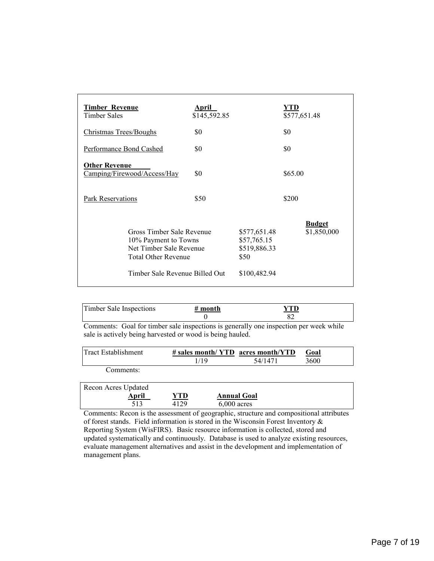| <b>Timber Revenue</b><br>Timber Sales                                                                                                        | April<br>\$145,592.85 |                                                                     | YTD<br>\$577,651.48          |
|----------------------------------------------------------------------------------------------------------------------------------------------|-----------------------|---------------------------------------------------------------------|------------------------------|
| <b>Christmas Trees/Boughs</b>                                                                                                                | \$0                   |                                                                     | \$0                          |
| Performance Bond Cashed                                                                                                                      | \$0                   |                                                                     | \$0                          |
| <b>Other Revenue</b><br>Camping/Firewood/Access/Hay                                                                                          | \$0                   |                                                                     | \$65.00                      |
| Park Reservations                                                                                                                            | \$50                  |                                                                     | \$200                        |
| Gross Timber Sale Revenue<br>10% Payment to Towns<br>Net Timber Sale Revenue<br><b>Total Other Revenue</b><br>Timber Sale Revenue Billed Out |                       | \$577,651.48<br>\$57,765.15<br>\$519,886.33<br>\$50<br>\$100,482.94 | <b>Budget</b><br>\$1,850,000 |

| Timber Sale Inspections | $#$ month |                                                                                       |
|-------------------------|-----------|---------------------------------------------------------------------------------------|
|                         |           |                                                                                       |
|                         |           | Commantar. Coal for timbor and ingrestions is conomily and ingrestion non wools while |

Comments: Goal for timber sale inspections is generally one inspection per week while sale is actively being harvested or wood is being hauled.

| Tract Establishment | $\#$ sales month/YTD acres month/YTD |         | Goal |  |
|---------------------|--------------------------------------|---------|------|--|
|                     | 1/19                                 | 54/1471 | 3600 |  |
| Comments:           |                                      |         |      |  |

| Recon Acres Updated |      |                    |  |
|---------------------|------|--------------------|--|
| April               | YTD  | <b>Annual Goal</b> |  |
|                     | 4129 | $6.000$ acres      |  |

Comments: Recon is the assessment of geographic, structure and compositional attributes of forest stands. Field information is stored in the Wisconsin Forest Inventory & Reporting System (WisFIRS). Basic resource information is collected, stored and updated systematically and continuously. Database is used to analyze existing resources, evaluate management alternatives and assist in the development and implementation of management plans.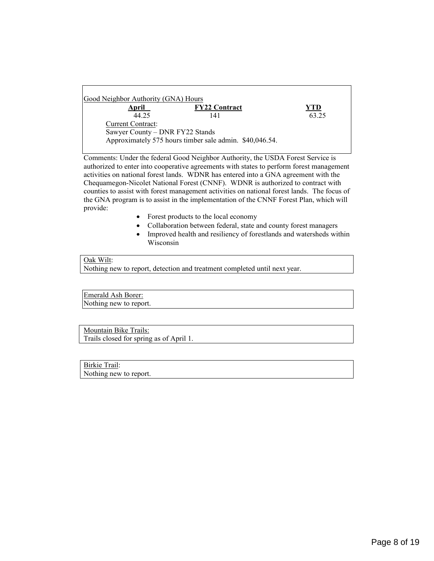| Good Neighbor Authority (GNA) Hours |                                                         |       |
|-------------------------------------|---------------------------------------------------------|-------|
| April                               | <b>FY22 Contract</b>                                    | YTD   |
| 44.25                               | 141                                                     | 63.25 |
| <b>Current Contract:</b>            |                                                         |       |
| Sawyer County - DNR FY22 Stands     |                                                         |       |
|                                     | Approximately 575 hours timber sale admin. \$40,046.54. |       |
|                                     |                                                         |       |

Comments: Under the federal Good Neighbor Authority, the USDA Forest Service is authorized to enter into cooperative agreements with states to perform forest management activities on national forest lands. WDNR has entered into a GNA agreement with the Chequamegon-Nicolet National Forest (CNNF). WDNR is authorized to contract with counties to assist with forest management activities on national forest lands. The focus of the GNA program is to assist in the implementation of the CNNF Forest Plan, which will provide:

- Forest products to the local economy
- Collaboration between federal, state and county forest managers
- Improved health and resiliency of forestlands and watersheds within Wisconsin

#### Oak Wilt:

Nothing new to report, detection and treatment completed until next year.

Emerald Ash Borer: Nothing new to report.

Mountain Bike Trails: Trails closed for spring as of April 1.

Birkie Trail: Nothing new to report.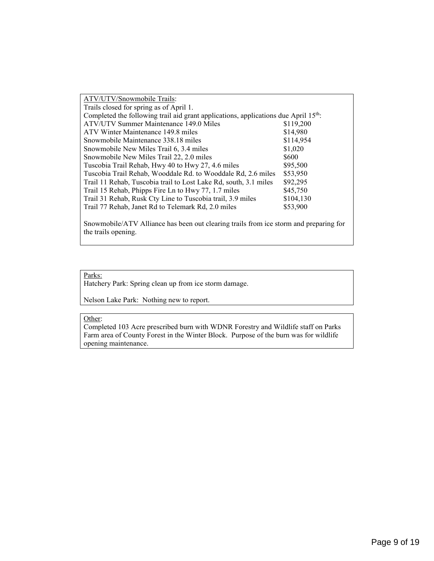| ATV/UTV/Snowmobile Trails:                                                                      |           |
|-------------------------------------------------------------------------------------------------|-----------|
| Trails closed for spring as of April 1.                                                         |           |
| Completed the following trail aid grant applications, applications due April 15 <sup>th</sup> : |           |
| ATV/UTV Summer Maintenance 149.0 Miles                                                          | \$119,200 |
| ATV Winter Maintenance 149.8 miles                                                              | \$14,980  |
| Snowmobile Maintenance 338.18 miles                                                             | \$114,954 |
| Snowmobile New Miles Trail 6, 3.4 miles                                                         | \$1,020   |
| Snowmobile New Miles Trail 22, 2.0 miles                                                        | \$600     |
| Tuscobia Trail Rehab, Hwy 40 to Hwy 27, 4.6 miles                                               | \$95,500  |
| Tuscobia Trail Rehab, Wooddale Rd. to Wooddale Rd, 2.6 miles                                    | \$53,950  |
| Trail 11 Rehab, Tuscobia trail to Lost Lake Rd, south, 3.1 miles                                | \$92,295  |
| Trail 15 Rehab, Phipps Fire Ln to Hwy 77, 1.7 miles                                             | \$45,750  |
| Trail 31 Rehab, Rusk Cty Line to Tuscobia trail, 3.9 miles                                      | \$104,130 |
| Trail 77 Rehab, Janet Rd to Telemark Rd, 2.0 miles                                              | \$53,900  |
|                                                                                                 |           |

Snowmobile/ATV Alliance has been out clearing trails from ice storm and preparing for the trails opening.

#### Parks:

Hatchery Park: Spring clean up from ice storm damage.

Nelson Lake Park: Nothing new to report.

#### Other:

Completed 103 Acre prescribed burn with WDNR Forestry and Wildlife staff on Parks Farm area of County Forest in the Winter Block. Purpose of the burn was for wildlife opening maintenance.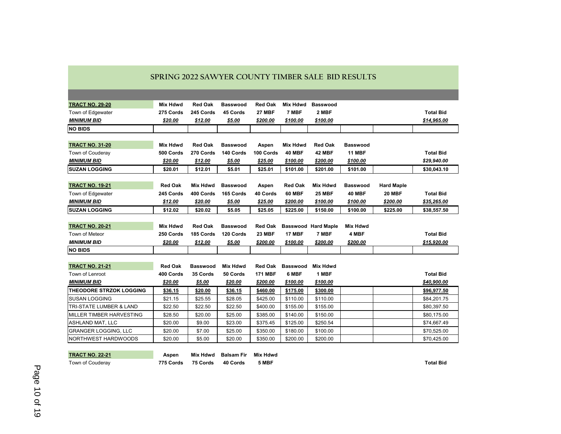<span id="page-9-0"></span>

| <b>TRACT NO. 29-20</b>         | <b>Mix Hdwd</b> | <b>Red Oak</b>  | <b>Basswood</b> | <b>Red Oak</b> | Mix Hdwd        | <b>Basswood</b>            |                 |                   |                  |
|--------------------------------|-----------------|-----------------|-----------------|----------------|-----------------|----------------------------|-----------------|-------------------|------------------|
| Town of Edgewater              | 275 Cords       | 245 Cords       | 45 Cords        | <b>27 MBF</b>  | 7 MBF           | 2 MBF                      |                 |                   | <b>Total Bid</b> |
| <b>MINIMUM BID</b>             | \$20.00         | \$12.00         | \$5.00          | \$200.00       | \$100.00        | \$100.00                   |                 |                   | \$14,965.00      |
| <b>NO BIDS</b>                 |                 |                 |                 |                |                 |                            |                 |                   |                  |
|                                |                 |                 |                 |                |                 |                            |                 |                   |                  |
| <b>TRACT NO. 31-20</b>         | <b>Mix Hdwd</b> | <b>Red Oak</b>  | <b>Basswood</b> | Aspen          | <b>Mix Hdwd</b> | <b>Red Oak</b>             | Basswood        |                   |                  |
| Town of Couderay               | 500 Cords       | 270 Cords       | 140 Cords       | 100 Cords      | <b>40 MBF</b>   | 42 MBF                     | <b>11 MBF</b>   |                   | <b>Total Bid</b> |
| <b>MINIMUM BID</b>             | \$20.00         | \$12.00         | \$5.00          | \$25.00        | \$100.00        | \$200.00                   | \$100.00        |                   | \$29,940.00      |
| <b>SUZAN LOGGING</b>           | \$20.01         | \$12.01         | \$5.01          | \$25.01        | \$101.00        | \$201.00                   | \$101.00        |                   | \$30,043.10      |
|                                |                 |                 |                 |                |                 |                            |                 |                   |                  |
| <b>TRACT NO. 19-21</b>         | <b>Red Oak</b>  | Mix Hdwd        | <b>Basswood</b> | Aspen          | <b>Red Oak</b>  | <b>Mix Hdwd</b>            | <b>Basswood</b> | <b>Hard Maple</b> |                  |
| Town of Edgewater              | 245 Cords       | 400 Cords       | 165 Cords       | 40 Cords       | 60 MBF          | <b>25 MBF</b>              | <b>40 MBF</b>   | <b>20 MBF</b>     | <b>Total Bid</b> |
| <b>MINIMUM BID</b>             | \$12.00         | \$20.00         | \$5.00          | \$25.00        | \$200.00        | \$100.00                   | \$100.00        | \$200.00          | \$35,265.00      |
| <b>SUZAN LOGGING</b>           | \$12.02         | \$20.02         | \$5.05          | \$25.05        | \$225.00        | \$150.00                   | \$100.00        | \$225.00          | \$38,557.50      |
|                                |                 |                 |                 |                |                 |                            |                 |                   |                  |
| <b>TRACT NO. 20-21</b>         | Mix Hdwd        | <b>Red Oak</b>  | <b>Basswood</b> | <b>Red Oak</b> |                 | <b>Basswood Hard Maple</b> | Mix Hdwd        |                   |                  |
| Town of Meteor                 | 250 Cords       | 185 Cords       | 120 Cords       | 23 MBF         | <b>17 MBF</b>   | 7 MBF                      | 4 MBF           |                   | <b>Total Bid</b> |
| <b>MINIMUM BID</b>             | \$20.00         | \$12.00         | \$5.00          | \$200.00       | \$100.00        | \$200.00                   | \$200.00        |                   | \$15,920.00      |
| <b>NO BIDS</b>                 |                 |                 |                 |                |                 |                            |                 |                   |                  |
|                                |                 |                 |                 |                |                 |                            |                 |                   |                  |
| <b>TRACT NO. 21-21</b>         | <b>Red Oak</b>  | <b>Basswood</b> | Mix Hdwd        | <b>Red Oak</b> | Basswood        | <b>Mix Hdwd</b>            |                 |                   |                  |
| Town of Lenroot                | 400 Cords       | 35 Cords        | 50 Cords        | <b>171 MBF</b> | 6 MBF           | 1 MBF                      |                 |                   | <b>Total Bid</b> |
| <b>MINIMUM BID</b>             | \$20.00         | \$5.00          | \$20.00         | \$200.00       | \$100.00        | \$100.00                   |                 |                   | \$40,900.00      |
| <b>THEODORE STRZOK LOGGING</b> | \$36.15         | \$20.00         | \$36.15         | \$460.00       | \$175.00        | \$300.00                   |                 |                   | \$96,977.50      |
| <b>SUSAN LOGGING</b>           | \$21.15         | \$25.55         | \$28.05         | \$425.00       | \$110.00        | \$110.00                   |                 |                   | \$84,201.75      |
| TRI-STATE LUMBER & LAND        | \$22.50         | \$22.50         | \$22.50         | \$400.00       | \$155.00        | \$155.00                   |                 |                   | \$80,397.50      |
| MILLER TIMBER HARVESTING       | \$28.50         | \$20.00         | \$25.00         | \$385.00       | \$140.00        | \$150.00                   |                 |                   | \$80,175.00      |
| ASHLAND MAT, LLC               | \$20.00         | \$9.00          | \$23.00         | \$375.45       | \$125.00        | \$250.54                   |                 |                   | \$74,667.49      |
| <b>GRANGER LOGGING, LLC</b>    | \$20.00         | \$7.00          | \$25.00         | \$350.00       | \$180.00        | \$100.00                   |                 |                   | \$70,525.00      |
| NORTHWEST HARDWOODS            | \$20.00         | \$5.00          | \$20.00         | \$350.00       | \$200.00        | \$200.00                   |                 |                   | \$70,425.00      |

| <b>TRACT NO. 22-21</b> | Aspen     |          | Mix Hdwd Balsam Fir | Mix Hdwd |           |
|------------------------|-----------|----------|---------------------|----------|-----------|
| Town of Couderay       | 775 Cords | 75 Cords | 40 Cords            | 5 MBF    | Total Bid |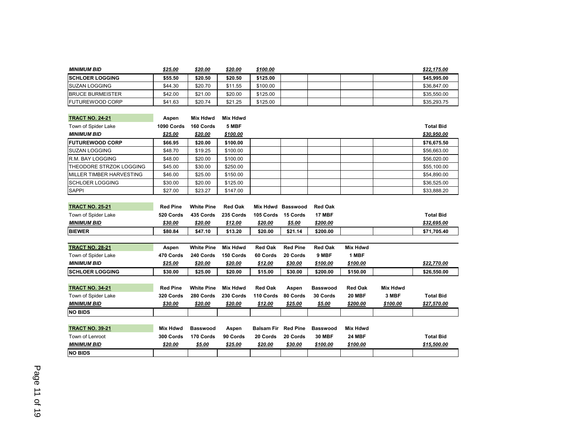| <b>MINIMUM BID</b>       | \$25.00         | \$20.00           | \$20.00         | \$100.00                   |                   |                 |                 |                 | \$22,175.00      |
|--------------------------|-----------------|-------------------|-----------------|----------------------------|-------------------|-----------------|-----------------|-----------------|------------------|
| <b>SCHLOER LOGGING</b>   | \$55.50         | \$20.50           | \$20.50         | \$125.00                   |                   |                 |                 |                 | \$45,995.00      |
| <b>SUZAN LOGGING</b>     | \$44.30         | \$20.70           | \$11.55         | \$100.00                   |                   |                 |                 |                 | \$36,847.00      |
| <b>BRUCE BURMEISTER</b>  | \$42.00         | \$21.00           | \$20.00         | \$125.00                   |                   |                 |                 |                 | \$35,550.00      |
| <b>FUTUREWOOD CORP</b>   | \$41.63         | \$20.74           | \$21.25         | \$125.00                   |                   |                 |                 |                 | \$35,293.75      |
|                          |                 |                   |                 |                            |                   |                 |                 |                 |                  |
| <b>TRACT NO. 24-21</b>   | Aspen           | <b>Mix Hdwd</b>   | <b>Mix Hdwd</b> |                            |                   |                 |                 |                 |                  |
| Town of Spider Lake      | 1090 Cords      | 160 Cords         | 5 MBF           |                            |                   |                 |                 |                 | <b>Total Bid</b> |
| <b>MINIMUM BID</b>       | \$25.00         | \$20.00           | \$100.00        |                            |                   |                 |                 |                 | \$30,950.00      |
| <b>FUTUREWOOD CORP</b>   | \$66.95         | \$20.00           | \$100.00        |                            |                   |                 |                 |                 | \$76,675.50      |
| <b>SUZAN LOGGING</b>     | \$48.70         | \$19.25           | \$100.00        |                            |                   |                 |                 |                 | \$56,663.00      |
| R.M. BAY LOGGING         | \$48.00         | \$20.00           | \$100.00        |                            |                   |                 |                 |                 | \$56,020.00      |
| THEODORE STRZOK LOGGING  | \$45.00         | \$30.00           | \$250.00        |                            |                   |                 |                 |                 | \$55,100.00      |
| MILLER TIMBER HARVESTING | \$46.00         | \$25.00           | \$150.00        |                            |                   |                 |                 |                 | \$54,890.00      |
| <b>SCHLOER LOGGING</b>   | \$30.00         | \$20.00           | \$125.00        |                            |                   |                 |                 |                 | \$36,525.00      |
| <b>SAPPI</b>             | \$27.00         | \$23.27           | \$147.00        |                            |                   |                 |                 |                 | \$33,888.20      |
|                          |                 |                   |                 |                            |                   |                 |                 |                 |                  |
| <b>TRACT NO. 25-21</b>   | <b>Red Pine</b> | <b>White Pine</b> | <b>Red Oak</b>  |                            | Mix Hdwd Basswood | <b>Red Oak</b>  |                 |                 |                  |
| Town of Spider Lake      | 520 Cords       | 435 Cords         | 235 Cords       | 105 Cords                  | 15 Cords          | <b>17 MBF</b>   |                 |                 | <b>Total Bid</b> |
| <b>MINIMUM BID</b>       | \$30.00         | \$20.00           | \$12.00         | \$20.00                    | \$5.00            | \$200.00        |                 |                 | \$32,695.00      |
| <b>BIEWER</b>            | \$80.84         | \$47.10           | \$13.20         | \$20.00                    | \$21.14           | \$200.00        |                 |                 | \$71,705.40      |
|                          |                 |                   |                 |                            |                   |                 |                 |                 |                  |
| <b>TRACT NO. 28-21</b>   | Aspen           | <b>White Pine</b> | <b>Mix Hdwd</b> | <b>Red Oak</b>             | <b>Red Pine</b>   | <b>Red Oak</b>  | <b>Mix Hdwd</b> |                 |                  |
| Town of Spider Lake      | 470 Cords       | 240 Cords         | 150 Cords       | 60 Cords                   | 20 Cords          | 9 MBF           | 1 MBF           |                 |                  |
| <b>MINIMUM BID</b>       | \$25.00         | \$20.00           | \$20.00         | \$12.00                    | \$30.00           | \$100.00        | \$100.00        |                 | \$22,770.00      |
| <b>SCHLOER LOGGING</b>   | \$30.00         | \$25.00           | \$20.00         | \$15.00                    | \$30.00           | \$200.00        | \$150.00        |                 | \$26,550.00      |
|                          |                 |                   |                 |                            |                   |                 |                 |                 |                  |
| <b>TRACT NO. 34-21</b>   | <b>Red Pine</b> | <b>White Pine</b> | <b>Mix Hdwd</b> | <b>Red Oak</b>             | Aspen             | <b>Basswood</b> | <b>Red Oak</b>  | <b>Mix Hdwd</b> |                  |
| Town of Spider Lake      | 320 Cords       | 280 Cords         | 230 Cords       | 110 Cords                  | 80 Cords          | 30 Cords        | <b>20 MBF</b>   | 3 MBF           | <b>Total Bid</b> |
| <b>MINIMUM BID</b>       | \$30.00         | \$20.00           | \$20.00         | \$12.00                    | \$25.00           | \$5.00          | \$200.00        | \$100.00        | \$27,570.00      |
| <b>NO BIDS</b>           |                 |                   |                 |                            |                   |                 |                 |                 |                  |
|                          |                 |                   |                 |                            |                   |                 |                 |                 |                  |
| <b>TRACT NO. 39-21</b>   | <b>Mix Hdwd</b> | <b>Basswood</b>   | Aspen           | <b>Balsam Fir</b> Red Pine |                   | <b>Basswood</b> | <b>Mix Hdwd</b> |                 |                  |
| Town of Lenroot          | 300 Cords       | 170 Cords         | 90 Cords        | 20 Cords                   | 20 Cords          | <b>30 MBF</b>   | <b>24 MBF</b>   |                 | <b>Total Bid</b> |
| <b>MINIMUM BID</b>       | \$20.00         | \$5.00            | \$25.00         | \$20.00                    | \$30.00           | \$100.00        | \$100.00        |                 | \$15,500.00      |
| <b>NO BIDS</b>           |                 |                   |                 |                            |                   |                 |                 |                 |                  |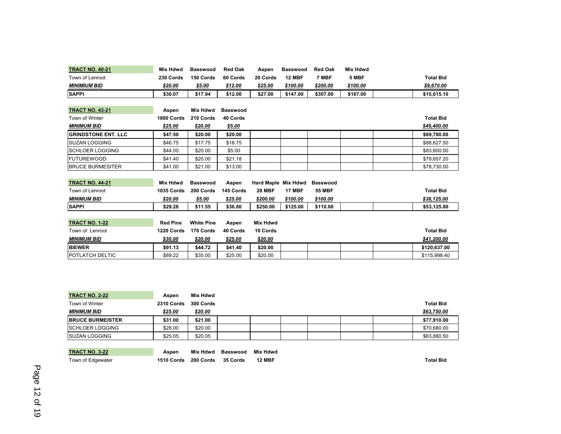| <b>TRACT NO. 40-21</b>     | <b>Mix Hdwd</b> | <b>Basswood</b>   | <b>Red Oak</b>  | Aspen               | <b>Basswood</b> | <b>Red Oak</b>  | <b>Mix Hdwd</b> |                  |
|----------------------------|-----------------|-------------------|-----------------|---------------------|-----------------|-----------------|-----------------|------------------|
| Town of Lenroot            | 230 Cords       | 150 Cords         | 60 Cords        | 20 Cords            | <b>12 MBF</b>   | 7 MBF           | 5 MBF           | <b>Total Bid</b> |
| <b>MINIMIUM BID</b>        | \$20.00         | \$5.00            | \$12.00         | \$25.00             | \$100.00        | \$200.00        | \$100.00        | \$9,670.00       |
| <b>SAPPI</b>               | \$30.07         | \$17.94           | \$12.00         | \$27.00             | \$147.00        | \$307.00        | \$167.00        | \$15,615.10      |
|                            |                 |                   |                 |                     |                 |                 |                 |                  |
| <b>TRACT NO. 43-21</b>     | Aspen           | <b>Mix Hdwd</b>   | <b>Basswood</b> |                     |                 |                 |                 |                  |
| <b>Town of Winter</b>      | 1800 Cords      | 210 Cords         | 40 Cords        |                     |                 |                 |                 | <b>Total Bid</b> |
| <b>MINIMUM BID</b>         | \$25.00         | \$20.00           | \$5.00          |                     |                 |                 |                 | \$49,400.00      |
| <b>GRINDSTONE ENT. LLC</b> | \$47.50         | \$20.00           | \$20.00         |                     |                 |                 |                 | \$89,780.00      |
| <b>ISUZAN LOGGING</b>      | \$46.75         | \$17.75           | \$18.75         |                     |                 |                 |                 | \$88.627.50      |
| <b>SCHLOER LOGGING</b>     | \$44.00         | \$20.00           | \$5.00          |                     |                 |                 |                 | \$83,600.00      |
| <b>FUTUREWOOD</b>          | \$41.40         | \$20.00           | \$21.18         |                     |                 |                 |                 | \$79,657.20      |
| <b>BRUCE BURMESITER</b>    | \$41.00         | \$21.00           | \$13.00         |                     |                 |                 |                 | \$78,730.00      |
|                            |                 |                   |                 |                     |                 |                 |                 |                  |
| <b>TRACT NO. 44-21</b>     | <b>Mix Hdwd</b> | <b>Basswood</b>   | Aspen           | Hard Maple Mix Hdwd |                 | <b>Basswood</b> |                 |                  |
| Town of Lenroot            | 1035 Cords      | 200 Cords         | 145 Cords       | <b>28 MBF</b>       | <b>17 MBF</b>   | <b>55 MBF</b>   |                 | <b>Total Bid</b> |
| <b>MINIMUM BID</b>         | \$20.00         | \$5.00            | \$25.00         | \$200.00            | \$100.00        | \$100.00        |                 | \$38,125.00      |
| <b>SAPPI</b>               | \$29.28         | \$11.55           | \$36.80         | \$250.00            | \$125.00        | \$110.00        |                 | \$53,125.80      |
|                            |                 |                   |                 |                     |                 |                 |                 |                  |
| <b>TRACT NO. 1-22</b>      | <b>Red Pine</b> | <b>White Pine</b> | Aspen           | <b>Mix Hdwd</b>     |                 |                 |                 |                  |
| Town of Lenroot            | 1220 Cords      | 170 Cords         | 40 Cords        | 10 Cords            |                 |                 |                 | <b>Total Bid</b> |
| <b>MINIMUM BID</b>         | \$30.00         | \$20.00           | \$25.00         | \$20.00             |                 |                 |                 | \$41,200.00      |
| <b>BIEWER</b>              | \$91.13         | \$44.72           | \$41.40         | \$20.00             |                 |                 |                 | \$120,637.00     |
| <b>POTLATCH DELTIC</b>     | \$89.22         | \$35.00           | \$25.00         | \$20.00             |                 |                 |                 | \$115,998.40     |

| <b>TRACT NO. 2-22</b>    | Aspen             | Mix Hdwd  |                  |
|--------------------------|-------------------|-----------|------------------|
| Town of Winter           | <b>2310 Cords</b> | 300 Cords | <b>Total Bid</b> |
| <b>MINIMUM BID</b>       | \$25.00           | \$20.00   | \$63,750.00      |
| <b>IBRUCE BURMEISTER</b> | \$31.00           | \$21.00   | \$77.910.00      |
| <b>SCHLOER LOGGING</b>   | \$28.00           | \$20.00   | \$70,680.00      |
| <b>ISUZAN LOGGING</b>    | \$25.05           | \$20.05   | \$63,880.50      |

| <b>TRACT NO. 3-22</b> | Aspen                | Mix Hdwd | Basswood | <b>Mix Hdwd</b> |                  |
|-----------------------|----------------------|----------|----------|-----------------|------------------|
| Town of Edgewater     | 1510 Cords 200 Cords |          | 35 Cords | <b>12 MBF</b>   | <b>Total Big</b> |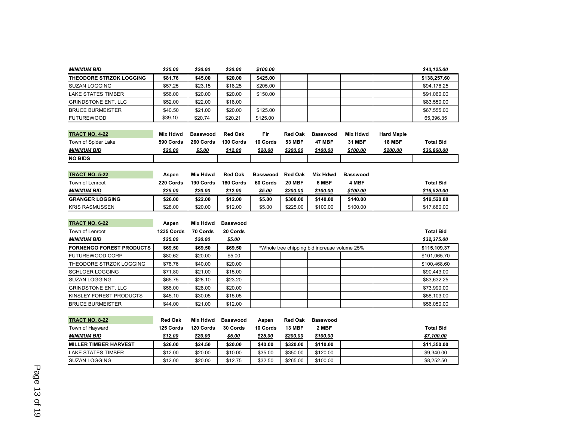| <b>MINIMUM BID</b>              | \$25.00         | \$20.00         | \$20.00         | \$100.00        |                |                                              |                 |                   | \$43,125.00      |
|---------------------------------|-----------------|-----------------|-----------------|-----------------|----------------|----------------------------------------------|-----------------|-------------------|------------------|
| <b>THEODORE STRZOK LOGGING</b>  | \$81.76         | \$45.00         | \$20.00         | \$425.00        |                |                                              |                 |                   | \$138,257.60     |
| <b>SUZAN LOGGING</b>            | \$57.25         | \$23.15         | \$18.25         | \$205.00        |                |                                              |                 |                   | \$94,176.25      |
| <b>LAKE STATES TIMBER</b>       | \$56.00         | \$20.00         | \$20.00         | \$150.00        |                |                                              |                 |                   | \$91,060.00      |
| <b>GRINDSTONE ENT. LLC</b>      | \$52.00         | \$22.00         | \$18.00         |                 |                |                                              |                 |                   | \$83.550.00      |
| <b>BRUCE BURMEISTER</b>         | \$40.50         | \$21.00         | \$20.00         | \$125.00        |                |                                              |                 |                   | \$67,555.00      |
| <b>FUTUREWOOD</b>               | \$39.10         | \$20.74         | \$20.21         | \$125.00        |                |                                              |                 |                   | 65,396.35        |
|                                 |                 |                 |                 |                 |                |                                              |                 |                   |                  |
| <b>TRACT NO. 4-22</b>           | <b>Mix Hdwd</b> | <b>Basswood</b> | <b>Red Oak</b>  | Fir             | <b>Red Oak</b> | <b>Basswood</b>                              | <b>Mix Hdwd</b> | <b>Hard Maple</b> |                  |
| Town of Spider Lake             | 590 Cords       | 260 Cords       | 130 Cords       | 10 Cords        | <b>53 MBF</b>  | <b>47 MBF</b>                                | <b>31 MBF</b>   | <b>18 MBF</b>     | <b>Total Bid</b> |
| <b>MINIMUM BID</b>              | \$20.00         | \$5.00          | \$12.00         | \$20.00         | \$200.00       | \$100.00                                     | \$100.00        | \$200.00          | \$36,860.00      |
| <b>NO BIDS</b>                  |                 |                 |                 |                 |                |                                              |                 |                   |                  |
|                                 |                 |                 |                 |                 |                |                                              |                 |                   |                  |
| <b>TRACT NO. 5-22</b>           | Aspen           | <b>Mix Hdwd</b> | <b>Red Oak</b>  | <b>Basswood</b> | <b>Red Oak</b> | <b>Mix Hdwd</b>                              | <b>Basswood</b> |                   |                  |
| Town of Lenroot                 | 220 Cords       | 190 Cords       | 160 Cords       | 60 Cords        | <b>20 MBF</b>  | 6 MBF                                        | 4 MBF           |                   | <b>Total Bid</b> |
| <b>MINIMUM BID</b>              | \$25.00         | \$20.00         | \$12.00         | \$5.00          | \$200.00       | \$100.00                                     | \$100.00        |                   | \$16,520.00      |
| <b>GRANGER LOGGING</b>          | \$26.00         | \$22.00         | \$12.00         | \$5.00          | \$300.00       | \$140.00                                     | \$140.00        |                   | \$19,520.00      |
| <b>KRIS RASMUSSEN</b>           | \$28.00         | \$20.00         | \$12.00         | \$5.00          | \$225.00       | \$100.00                                     | \$100.00        |                   | \$17,680.00      |
|                                 |                 |                 |                 |                 |                |                                              |                 |                   |                  |
| <b>TRACT NO. 6-22</b>           | Aspen           | <b>Mix Hdwd</b> | <b>Basswood</b> |                 |                |                                              |                 |                   |                  |
| Town of Lenroot                 | 1235 Cords      | 70 Cords        | 20 Cords        |                 |                |                                              |                 |                   | <b>Total Bid</b> |
| <b>MINIMUM BID</b>              | \$25.00         | \$20.00         | \$5.00          |                 |                |                                              |                 |                   | \$32,375.00      |
| <b>FORNENGO FOREST PRODUCTS</b> | \$69.50         | \$69.50         | \$69.50         |                 |                | *Whole tree chipping bid increase volume 25% |                 |                   | \$115,109.37     |
| <b>FUTUREWOOD CORP</b>          | \$80.62         | \$20.00         | \$5.00          |                 |                |                                              |                 |                   | \$101.065.70     |
| THEODORE STRZOK LOGGING         | \$78.76         | \$40.00         | \$20.00         |                 |                |                                              |                 |                   | \$100,468.60     |
| <b>SCHLOER LOGGING</b>          | \$71.80         | \$21.00         | \$15.00         |                 |                |                                              |                 |                   | \$90,443.00      |
| <b>SUZAN LOGGING</b>            | \$65.75         | \$28.10         | \$23.20         |                 |                |                                              |                 |                   | \$83.632.25      |
| <b>GRINDSTONE ENT. LLC</b>      | \$58.00         | \$28.00         | \$20.00         |                 |                |                                              |                 |                   | \$73,990.00      |
| KINSLEY FOREST PRODUCTS         | \$45.10         | \$30.05         | \$15.05         |                 |                |                                              |                 |                   | \$58,103.00      |
| <b>BRUCE BURMEISTER</b>         | \$44.00         | \$21.00         | \$12.00         |                 |                |                                              |                 |                   | \$56,050.00      |
|                                 |                 |                 |                 |                 |                |                                              |                 |                   |                  |
| <b>TRACT NO. 8-22</b>           | <b>Red Oak</b>  | Mix Hdwd        | <b>Basswood</b> | Aspen           | <b>Red Oak</b> | <b>Basswood</b>                              |                 |                   |                  |

| <b>IRACI NO. 8-22</b>         | Red Oak   | Mix Hdwd  | Basswood | Aspen    | <b>Red Oak</b> | Basswood |  |             |
|-------------------------------|-----------|-----------|----------|----------|----------------|----------|--|-------------|
| Town of Hayward               | 125 Cords | 120 Cords | 30 Cords | 10 Cords | <b>13 MBF</b>  | 2 MBF    |  | Total Bid   |
| <b>MINIMUM BID</b>            | \$12.00   | \$20.00   | \$5.00   | \$25.00  | \$200.00       | \$100.00 |  | \$7,100.00  |
| <b>IMILLER TIMBER HARVEST</b> | \$26.00   | \$24.50   | \$20.00  | \$40.00  | \$320.00       | \$110.00 |  | \$11.350.00 |
| <b>LAKE STATES TIMBER</b>     | \$12.00   | \$20.00   | \$10.00  | \$35.00  | \$350.00       | \$120.00 |  | \$9,340.00  |
| <b>ISUZAN LOGGING</b>         | \$12.00   | \$20.00   | \$12.75  | \$32.50  | \$265.00       | \$100.00 |  | \$8,252,50  |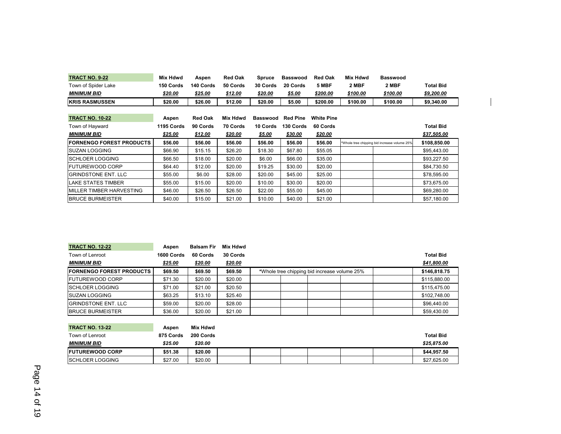| <b>TRACT NO. 9-22</b>           | <b>Mix Hdwd</b> | Aspen          | <b>Red Oak</b> | <b>Spruce</b>   | Basswood        | <b>Red Oak</b>    | Mix Hdwd | <b>Basswood</b>                              |                  |
|---------------------------------|-----------------|----------------|----------------|-----------------|-----------------|-------------------|----------|----------------------------------------------|------------------|
| Town of Spider Lake             | 150 Cords       | 140 Cords      | 50 Cords       | 30 Cords        | 20 Cords        | 5 MBF             | 2 MBF    | 2 MBF                                        | <b>Total Bid</b> |
| MINIMUM BID                     | <u>\$20.00</u>  | \$25.00        | \$12.00        | \$20.00         | \$5.00          | \$200.00          | \$100.00 | \$100.00                                     | \$9,200.00       |
| <b>KRIS RASMUSSEN</b>           | \$20.00         | \$26.00        | \$12.00        | \$20.00         | \$5.00          | \$200.00          | \$100.00 | \$100.00                                     | \$9,340.00       |
|                                 |                 |                |                |                 |                 |                   |          |                                              |                  |
| <b>TRACT NO. 10-22</b>          | Aspen           | <b>Red Oak</b> | Mix Hdwd       | <b>Basswood</b> | <b>Red Pine</b> | <b>White Pine</b> |          |                                              |                  |
| Town of Hayward                 | 1195 Cords      | 90 Cords       | 70 Cords       | 10 Cords        | 130 Cords       | 60 Cords          |          |                                              | <b>Total Bid</b> |
| MINIMUM BID                     | \$25.00         | \$12.00        | \$20.00        | \$5.00          | \$30.00         | \$20.00           |          |                                              | \$37,505.00      |
| <b>FORNENGO FOREST PRODUCTS</b> | \$56.00         | \$56.00        | \$56.00        | \$56.00         | \$56.00         | \$56.00           |          | *Whole tree chipping bid increase volume 25% | \$108,850.00     |
|                                 |                 |                |                |                 |                 |                   |          |                                              |                  |
| <b>SUZAN LOGGING</b>            | \$66.90         | \$15.15        | \$26.20        | \$18.30         | \$67.80         | \$55.05           |          |                                              | \$95,443.00      |
| <b>ISCHLOER LOGGING</b>         | \$66.50         | \$18.00        | \$20.00        | \$6.00          | \$66.00         | \$35.00           |          |                                              | \$93,227.50      |
| IFUTUREWOOD CORP                | \$64.40         | \$12.00        | \$20.00        | \$19.25         | \$30.00         | \$20.00           |          |                                              | \$84,730.50      |
| <b>GRINDSTONE ENT. LLC</b>      | \$55.00         | \$6.00         | \$28.00        | \$20.00         | \$45.00         | \$25.00           |          |                                              | \$78,595.00      |
| <b>LAKE STATES TIMBER</b>       | \$55.00         | \$15.00        | \$20.00        | \$10.00         | \$30.00         | \$20.00           |          |                                              | \$73,675.00      |
| MILLER TIMBER HARVESTING        | \$46.00         | \$26.50        | \$26.50        | \$22.00         | \$55.00         | \$45.00           |          |                                              | \$69,280.00      |

| <b>TRACT NO. 12-22</b>          | Aspen      | <b>Balsam Fir</b> | Mix Hdwd |                                              |                  |
|---------------------------------|------------|-------------------|----------|----------------------------------------------|------------------|
| Town of Lenroot                 | 1600 Cords | 60 Cords          | 30 Cords |                                              | <b>Total Bid</b> |
| <b>MINIMUM BID</b>              | \$25.00    | \$20.00           | \$20.00  |                                              | \$41,800.00      |
| <b>FORNENGO FOREST PRODUCTS</b> | \$69.50    | \$69.50           | \$69.50  | *Whole tree chipping bid increase volume 25% | \$146,818.75     |
| <b>IFUTUREWOOD CORP</b>         | \$71.30    | \$20.00           | \$20.00  |                                              | \$115,880.00     |
| <b>SCHLOER LOGGING</b>          | \$71.00    | \$21.00           | \$20.50  |                                              | \$115,475.00     |
| <b>ISUZAN LOGGING</b>           | \$63.25    | \$13.10           | \$25.40  |                                              | \$102,748.00     |
| <b>GRINDSTONE ENT. LLC</b>      | \$59.00    | \$20.00           | \$28.00  |                                              | \$96,440.00      |
| <b>BRUCE BURMEISTER</b>         | \$36.00    | \$20.00           | \$21.00  |                                              | \$59,430.00      |

| <b>TRACT NO. 13-22</b>  | Aspen     | Mix Hdwd  |  |  |  |                  |
|-------------------------|-----------|-----------|--|--|--|------------------|
| Town of Lenroot         | 875 Cords | 200 Cords |  |  |  | <b>Total Bid</b> |
| <b>MINIMUM BID</b>      | \$25.00   | \$20.00   |  |  |  | \$25,875,00      |
| <b>IFUTUREWOOD CORP</b> | \$51.38   | \$20.00   |  |  |  | \$44.957.50      |
| <b>ISCHLOER LOGGING</b> | \$27.00   | \$20.00   |  |  |  | \$27.625.00      |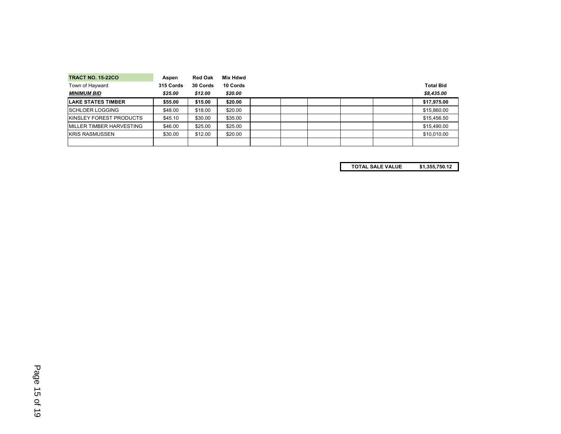| <b>TRACT NO. 15-22CO</b>         | Aspen     | <b>Red Oak</b> | Mix Hdwd |  |  |                  |
|----------------------------------|-----------|----------------|----------|--|--|------------------|
| Town of Hayward                  | 315 Cords | 30 Cords       | 10 Cords |  |  | <b>Total Bid</b> |
| <b>MINIMUM BID</b>               | \$25.00   | \$12.00        | \$20.00  |  |  | \$8,435,00       |
| <b>ILAKE STATES TIMBER</b>       | \$55.00   | \$15.00        | \$20.00  |  |  | \$17,975.00      |
| <b>SCHLOER LOGGING</b>           | \$48.00   | \$18.00        | \$20.00  |  |  | \$15,860.00      |
| <b>KINSLEY FOREST PRODUCTS</b>   | \$45.10   | \$30.00        | \$35.00  |  |  | \$15,456.50      |
| <b>IMILLER TIMBER HARVESTING</b> | \$46.00   | \$25.00        | \$25.00  |  |  | \$15,490.00      |
| <b>KRIS RASMUSSEN</b>            | \$30.00   | \$12.00        | \$20.00  |  |  | \$10,010.00      |
|                                  |           |                |          |  |  |                  |

**TOTAL SALE VALUE \$1,355,750.12**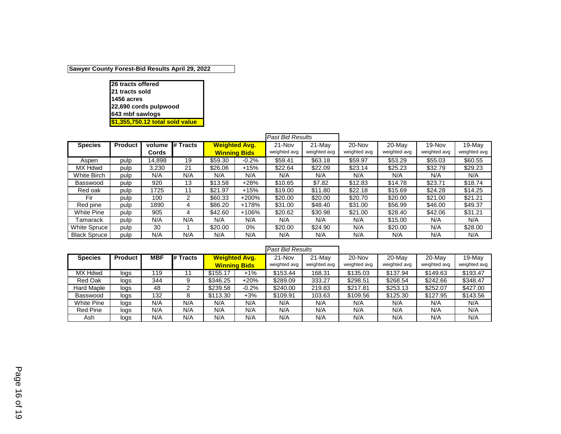#### **Sawyer County Forest-Bid Results April 29, 2022**

**26 tracts offered 21 tracts sold 1456 acres 22,690 cords pulpwood 643 mbf sawlogs \$1,355,750.12 total sold value**

<span id="page-15-0"></span>

|                     |                |        |          |         |                      | <b>Past Bid Results</b> |              |              |              |              |              |
|---------------------|----------------|--------|----------|---------|----------------------|-------------------------|--------------|--------------|--------------|--------------|--------------|
| <b>Species</b>      | <b>Product</b> | volume | # Tracts |         | <b>Weighted Avg.</b> | 21-Nov                  | 21-May       | 20-Nov       | 20-May       | 19-Nov       | 19-May       |
|                     |                | Cords  |          |         | <b>Winning Bids</b>  | weighted avg            | weighted avg | weighted avg | weighted avg | weighted avg | weighted avg |
| Aspen               | pulp           | 14.898 | 19       | \$59.30 | $-0.2%$              | \$59.41                 | \$63.18      | \$59.97      | \$53.29      | \$55.03      | \$60.55      |
| MX Hdwd             | pulp           | 3,230  | 21       | \$26.06 | $+15%$               | \$22.64                 | \$22.09      | \$23.14      | \$25.23      | \$32.79      | \$29.23      |
| White Birch         | pulp           | N/A    | N/A      | N/A     | N/A                  | N/A                     | N/A          | N/A          | N/A          | N/A          | N/A          |
| Basswood            | pulp           | 920    | 13       | \$13.58 | $+28%$               | \$10.65                 | \$7.82       | \$12.83      | \$14.78      | \$23.71      | \$18.74      |
| Red oak             | pulp           | 1725   | 11       | \$21.97 | $+15%$               | \$19.00                 | \$11.80      | \$22.18      | \$15.69      | \$24.28      | \$14.25      |
| Fir                 | pulp           | 100    | 2        | \$60.33 | $+200%$              | \$20.00                 | \$20.00      | \$20.70      | \$20.00      | \$21.00      | \$21.21      |
| Red pine            | pulp           | 1890   | 4        | \$86.20 | +178%                | \$31.00                 | \$48.40      | \$31.00      | \$56.99      | \$46.00      | \$49.37      |
| White Pine          | pulp           | 905    | 4        | \$42.60 | +106%                | \$20.62                 | \$30.98      | \$21.00      | \$28.40      | \$42.06      | \$31.21      |
| Tamarack            | pulp           | N/A    | N/A      | N/A     | N/A                  | N/A                     | N/A          | N/A          | \$15.00      | N/A          | N/A          |
| White Spruce        | pulp           | 30     |          | \$20.00 | 0%                   | \$20.00                 | \$24.90      | N/A          | \$20.00      | N/A          | \$28.00      |
| <b>Black Spruce</b> | pulp           | N/A    | N/A      | N/A     | N/A                  | N/A                     | N/A          | N/A          | N/A          | N/A          | N/A          |

|                 |         |            |          |                      |         | <b>Past Bid Results</b> |              |              |              |              |              |
|-----------------|---------|------------|----------|----------------------|---------|-------------------------|--------------|--------------|--------------|--------------|--------------|
| <b>Species</b>  | Product | <b>MBF</b> | # Tracts | <b>Weighted Avg.</b> |         | 21-Nov                  | 21-May       | 20-Nov       | 20-May       | 20-May       | 19-May       |
|                 |         |            |          | <b>Winning Bids</b>  |         | weighted avg            | weighted avg | weighted avg | weighted avg | weighted avg | weighted avg |
| MX Hdwd         | logs    | 119        |          | \$155.17             | $+1%$   | \$153.44                | 168.31       | \$135.03     | \$137.94     | \$149.63     | \$193.47     |
| Red Oak         | logs    | 344        |          | \$346.25             | $+20%$  | \$289.09                | 333.27       | \$298.51     | \$268.54     | \$242.66     | \$348.47     |
| Hard Maple      | logs    | 48         |          | \$239.58             | $-0.2%$ | \$240.00                | 219.83       | \$217.81     | \$253.13     | \$252.07     | \$427.00     |
| Basswood        | logs    | 132        |          | \$113.30             | +3%     | \$109.91                | 103.63       | \$109.56     | \$125.30     | \$127.95     | \$143.56     |
| White Pine      | logs    | N/A        | N/A      | N/A                  | N/A     | N/A                     | N/A          | N/A          | N/A          | N/A          | N/A          |
| <b>Red Pine</b> | logs    | N/A        | N/A      | N/A                  | N/A     | N/A                     | N/A          | N/A          | N/A          | N/A          | N/A          |
| Ash             | logs    | N/A        | N/A      | N/A                  | N/A     | N/A                     | N/A          | N/A          | N/A          | N/A          | N/A          |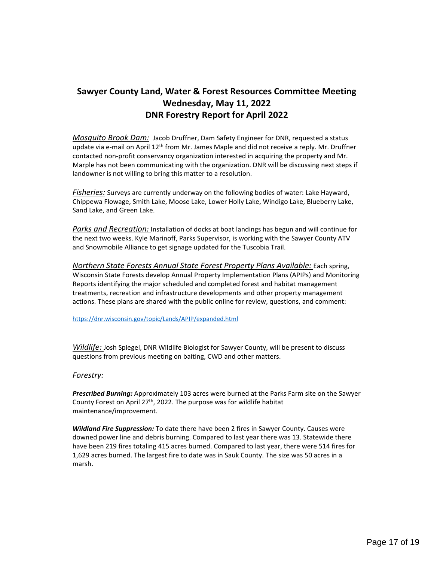# <span id="page-16-0"></span>**Sawyer County Land, Water & Forest Resources Committee Meeting Wednesday, May 11, 2022 DNR Forestry Report for April 2022**

*Mosquito Brook Dam:* Jacob Druffner, Dam Safety Engineer for DNR, requested a status update via e-mail on April 12<sup>th</sup> from Mr. James Maple and did not receive a reply. Mr. Druffner contacted non-profit conservancy organization interested in acquiring the property and Mr. Marple has not been communicating with the organization. DNR will be discussing next steps if landowner is not willing to bring this matter to a resolution.

*Fisheries:* Surveys are currently underway on the following bodies of water: Lake Hayward, Chippewa Flowage, Smith Lake, Moose Lake, Lower Holly Lake, Windigo Lake, Blueberry Lake, Sand Lake, and Green Lake.

Parks and Recreation: Installation of docks at boat landings has begun and will continue for the next two weeks. Kyle Marinoff, Parks Supervisor, is working with the Sawyer County ATV and Snowmobile Alliance to get signage updated for the Tuscobia Trail.

*Northern State Forests Annual State Forest Property Plans Available:* Each spring, Wisconsin State Forests develop Annual Property Implementation Plans (APIPs) and Monitoring Reports identifying the major scheduled and completed forest and habitat management treatments, recreation and infrastructure developments and other property management actions. These plans are shared with the public online for review, questions, and comment:

<https://dnr.wisconsin.gov/topic/Lands/APIP/expanded.html>

*Wildlife:* Josh Spiegel, DNR Wildlife Biologist for Sawyer County, will be present to discuss questions from previous meeting on baiting, CWD and other matters.

#### *Forestry:*

*Prescribed Burning:* Approximately 103 acres were burned at the Parks Farm site on the Sawyer County Forest on April  $27<sup>th</sup>$ , 2022. The purpose was for wildlife habitat maintenance/improvement.

*Wildland Fire Suppression:* To date there have been 2 fires in Sawyer County. Causes were downed power line and debris burning. Compared to last year there was 13. Statewide there have been 219 fires totaling 415 acres burned. Compared to last year, there were 514 fires for 1,629 acres burned. The largest fire to date was in Sauk County. The size was 50 acres in a marsh.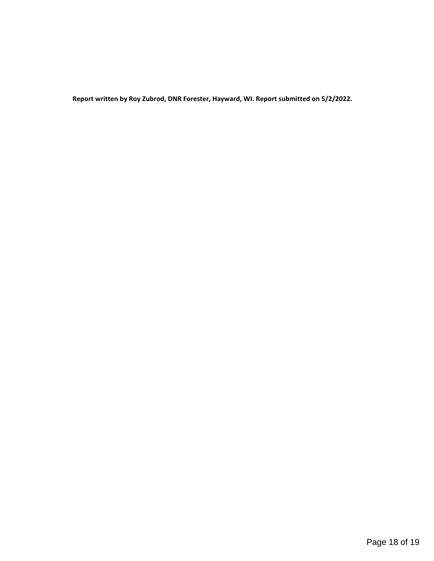**Report written by Roy Zubrod, DNR Forester, Hayward, WI. Report submitted on 5/2/2022.**